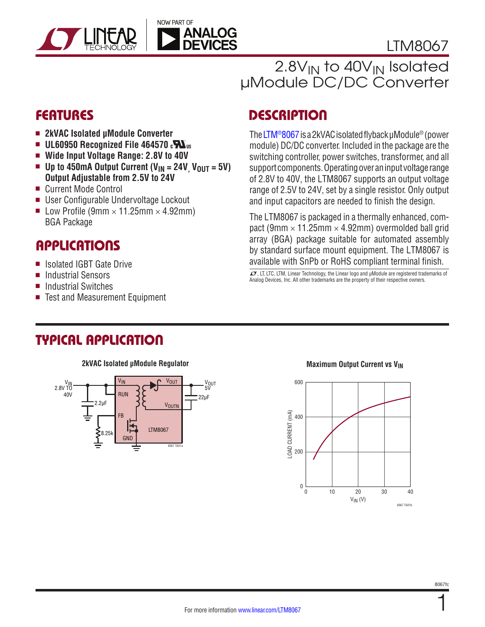



# 2.8V<sub>IN</sub> to 40V<sub>IN</sub> Isolated µModule DC/DC Converter

- 2kVAC Isolated µModule Converter
- **u** UL60950 Recognized File 464570 $\epsilon$  $\mathbf{N}_{\text{us}}$
- Wide Input Voltage Range: 2.8V to 40V
- **u** Up to 450mA Output Current ( $V_{IN} = 24V$ ,  $V_{OUT} = 5V$ ) **Output Adjustable from 2.5V to 24V**
- Current Mode Control
- User Configurable Undervoltage Lockout
- Low Profile (9mm  $\times$  11.25mm  $\times$  4.92mm) BGA Package

## **APPLICATIONS**

- Isolated IGBT Gate Drive
- Industrial Sensors
- **n** Industrial Switches
- Test and Measurement Equipment

# FEATURES DESCRIPTION

The [LTM®8067](http://www.linear.com/LTM8067) is a 2kVAC isolated flyback µModule® (power module) DC/DC converter. Included in the package are the switching controller, power switches, transformer, and all support components. Operating over an input voltage range of 2.8V to 40V, the LTM8067 supports an output voltage range of 2.5V to 24V, set by a single resistor. Only output and input capacitors are needed to finish the design.

The LTM8067 is packaged in a thermally enhanced, compact (9mm  $\times$  11.25mm  $\times$  4.92mm) overmolded ball grid array (BGA) package suitable for automated assembly by standard surface mount equipment. The LTM8067 is available with SnPb or RoHS compliant terminal finish.

 $I$ , LT, LTC, LTM, Linear Technology, the Linear logo and  $\mu$ Module are registered trademarks of Analog Devices, Inc. All other trademarks are the property of their respective owners.

## TYPICAL APPLICATION

#### **Maximum Output Current vs VIN 2kVAC Isolated µModule Regulator**



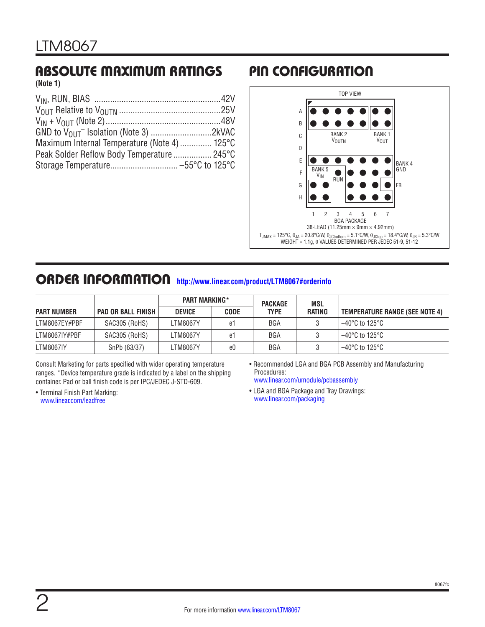# ABSOLUTE MAXIMUM RATINGS PIN CONFIGURATION

**(Note 1)**

| Maximum Internal Temperature (Note 4)  125°C |  |
|----------------------------------------------|--|
| Peak Solder Reflow Body Temperature 245°C    |  |
|                                              |  |



## ORDER INFORMATION **<http://www.linear.com/product/LTM8067#orderinfo>**

|                    |                           | <b>PART MARKING*</b> |             | <b>PACKAGE</b> | MSL    |                                |
|--------------------|---------------------------|----------------------|-------------|----------------|--------|--------------------------------|
| <b>PART NUMBER</b> | <b>PAD OR BALL FINISH</b> | <b>DEVICE</b>        | <b>CODE</b> | <b>TYPE</b>    | RATING | TEMPERATURE RANGE (SEE NOTE 4) |
| LTM8067EY#PBF      | SAC305 (RoHS)             | _TM8067Y             | e1          | <b>BGA</b>     |        | ' –40°C to 125°C ·             |
| LTM8067IY#PBF      | SAC305 (RoHS)             | _TM8067Y             | e1          | BGA            |        | 1–40°C to 125°C                |
| <b>LTM8067IY</b>   | SnPb (63/37)              | _TM8067Y             | e0          | BGA            |        | 1–40°C to 125°C                |

Consult Marketing for parts specified with wider operating temperature ranges. \*Device temperature grade is indicated by a label on the shipping container. Pad or ball finish code is per IPC/JEDEC J-STD-609.

• Terminal Finish Part Marking: www.linear.com/leadfree

• Recommended LGA and BGA PCB Assembly and Manufacturing Procedures:

www.linear.com/umodule/pcbassembly

• LGA and BGA Package and Tray Drawings: www.linear.com/packaging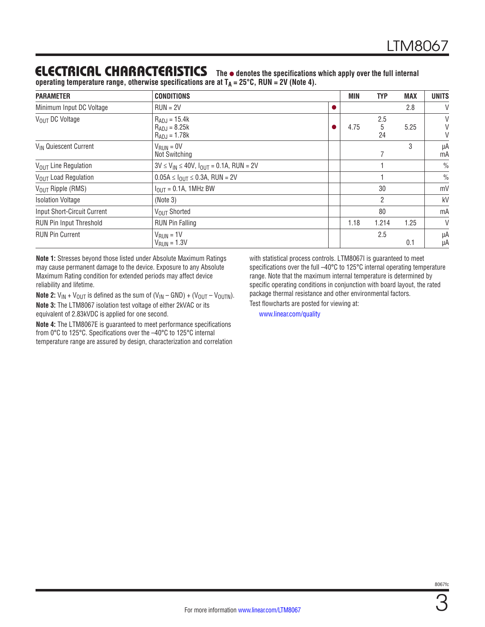## ELECTRICAL CHARACTERISTICS The  $\bullet$  denotes the specifications which apply over the full internal

operating temperature range, otherwise specifications are at  $T_A = 25^{\circ}$ C, RUN = 2V (Note 4).

| <b>PARAMETER</b>                                       | <b>CONDITIONS</b>                                           |                | MIN  | <b>TYP</b>     | <b>MAX</b> | <b>UNITS</b>  |
|--------------------------------------------------------|-------------------------------------------------------------|----------------|------|----------------|------------|---------------|
| Minimum Input DC Voltage                               |                                                             |                |      | 2.8            | V          |               |
| VOUT DC Voltage                                        | $R_{ADJ} = 15.4k$<br>$R_{ADJ} = 8.25k$<br>$R_{ADJ} = 1.78k$ |                | 4.75 | 2.5<br>5<br>24 | 5.25       | V<br>V<br>V   |
| V <sub>IN</sub> Quiescent Current                      | $V_{RUN} = 0V$<br>Not Switching                             |                |      |                |            | μA<br>mA      |
| V <sub>OUT</sub> Line Regulation                       | $3V \le V_{IN} \le 40V$ , $I_{OUIT} = 0.1A$ , RUN = 2V      |                |      |                |            | $\frac{0}{0}$ |
| VOUT Load Regulation                                   | $0.05A \leq I_{OUT} \leq 0.3A$ , RUN = 2V                   |                |      |                |            | $\frac{0}{0}$ |
| $V_{\text{OUT}}$ Ripple (RMS)                          | $I_{\text{OUT}} = 0.1$ A, 1MHz BW                           |                | 30   |                |            | mV            |
| <b>Isolation Voltage</b>                               | (Note 3)                                                    | $\overline{2}$ |      |                | kV         |               |
| Input Short-Circuit Current                            | 80<br>VOUT Shorted                                          |                |      |                |            | mA            |
| RUN Pin Input Threshold                                | <b>RUN Pin Falling</b><br>1.214<br>1.18                     |                |      |                | 1.25       | V             |
| <b>RUN Pin Current</b><br>$VRUN = 1V$<br>$VRUN = 1.3V$ |                                                             |                |      | 2.5            | 0.1        | μA<br>μA      |

**Note 1:** Stresses beyond those listed under Absolute Maximum Ratings may cause permanent damage to the device. Exposure to any Absolute Maximum Rating condition for extended periods may affect device reliability and lifetime.

**Note 2:**  $V_{IN}$  +  $V_{OUT}$  is defined as the sum of  $(V_{IN} - \text{GND}) + (V_{OUT} - V_{OUTN})$ . **Note 3:** The LTM8067 isolation test voltage of either 2kVAC or its equivalent of 2.83kVDC is applied for one second.

**Note 4:** The LTM8067E is guaranteed to meet performance specifications from 0°C to 125°C. Specifications over the –40°C to 125°C internal temperature range are assured by design, characterization and correlation with statistical process controls. LTM8067I is guaranteed to meet specifications over the full -40°C to 125°C internal operating temperature range. Note that the maximum internal temperature is determined by specific operating conditions in conjunction with board layout, the rated package thermal resistance and other environmental factors.

Test flowcharts are posted for viewing at:

www.linear.com/quality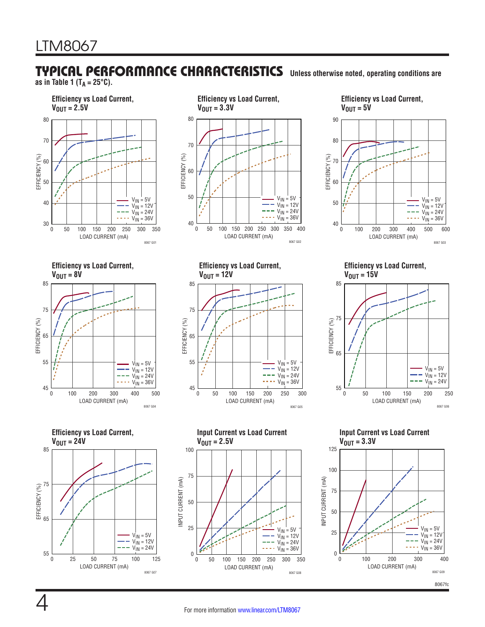# TYPICAL PERFORMANCE CHARACTERISTICS **Unless otherwise noted, operating conditions are**

**as in Table 1 (TA = 25°C).**



 $V_{\text{OUT}} = 3.3V$ LOAD CURRENT (mA) 0 50 100 150 200 250 300 350 400 8067 G02  $V_{IN} = 5V$  $V_{\text{IN}} = 12V$  $V_{1N} = 24V$  $V_{\text{IN}}$  = 36V

 $V_{OUT} = 5V$ LOAD CURRENT (mA) 0 100 200 300 400 500 600 40 50 60 70 80 90 EFFICIENCY (%)  $\rm V_{IN}$  =  $5\rm V$ V<sub>IN</sub> = 12V  $V_{IN} = 24V$  $V_{IN} = 36V$ 

**Efficiency vs Load Current,** 

LOAD CURRENT (mA) 0 100 200 300 400 500 45  $V_{IN} = 5V$  $V_{\text{IN}} = 12V$  $V_{IN} = 24V$  $\cdots$   $V_{\text{IN}}^{\text{II}}$  = 36V





8067 G04



**Efficiency vs Load Current,**   $V_{\text{OUT}} = 15V$ 

8067 G03



**Input Current vs Load Current VOUT = 3.3V VOUT = 3.3V**



EFFICIENCY (%)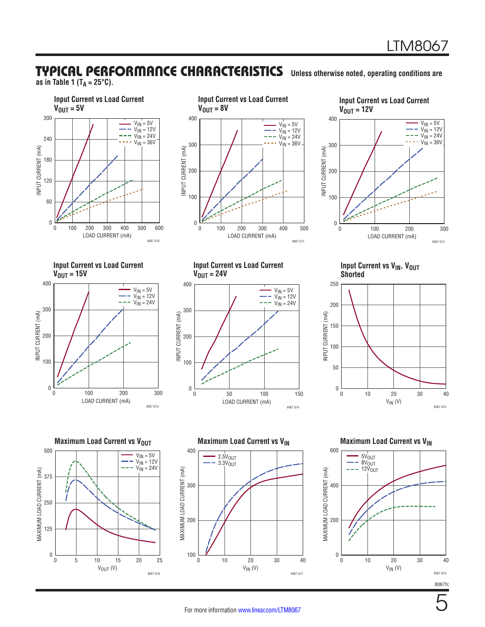## TYPICAL PERFORMANCE CHARACTERISTICS **Unless otherwise noted, operating conditions are**

**as in Table 1 (TA = 25°C).**









**Input Current vs Load Current**   $V_{\text{OUT}} = 24V$  $\rm V_{IN}$  =  $5\rm V$  $V_{IN}$  = 12V  $- - \text{V}_{\text{IN}} = 24 \text{V}$ 400

**Input Current vs V<sub>IN</sub>, V<sub>OUT</sub> In** shorted values of  $\mathbb{R}$  in the shorted value of  $\mathbb{R}$  in the shorted value of  $\mathbb{R}$  in the shorted value of  $\mathbb{R}$  in the shorted value of  $\mathbb{R}$  in the shorted value of  $\mathbb{R}$  in the shorted value of



**Maximum Load Current vs V<sub>OUT</sub>** 500  $V_{1N} = 5V$  $V_{1N} = 12V$  $V_{IN} = 24V$ MAXIMUM LOAD CURRENT (mA) MAXIMUM LOAD CURRENT (mA) 375 j<br>il 250 125 0 0 5 10 15 20 25  $V_{OUT} (V)$ 8067 G16



LOAD CURRENT (mA) 0 50 100 150

8067 G14

0

100

200

INPUT CURRENT (mA)

INPUT CURRENT (mA)

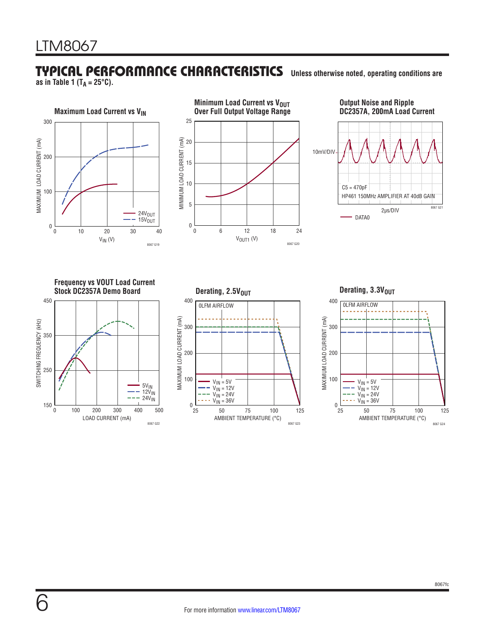## TYPICAL PERFORMANCE CHARACTERISTICS **Unless otherwise noted, operating conditions are**

**as in Table 1 (TA = 25°C).**







**Frequency vs VOUT Load Current Stock DC2357A Demo Board Stock DC2357A Demo Board** 450





Derating, 3.3V<sub>OUT</sub>

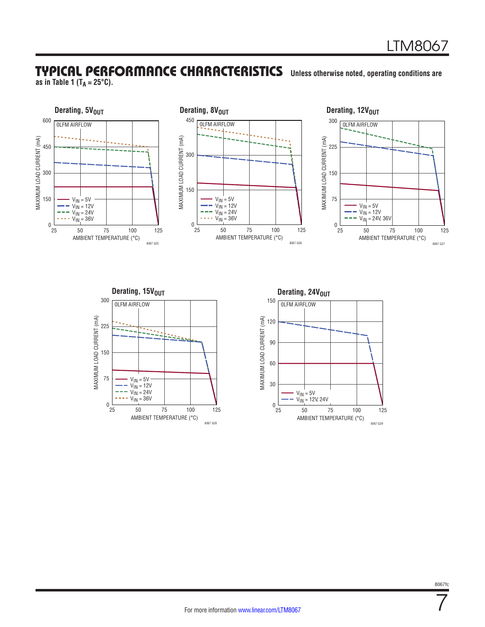## TYPICAL PERFORMANCE CHARACTERISTICS **Unless otherwise noted, operating conditions are**

**as in Table 1 (TA = 25°C).**

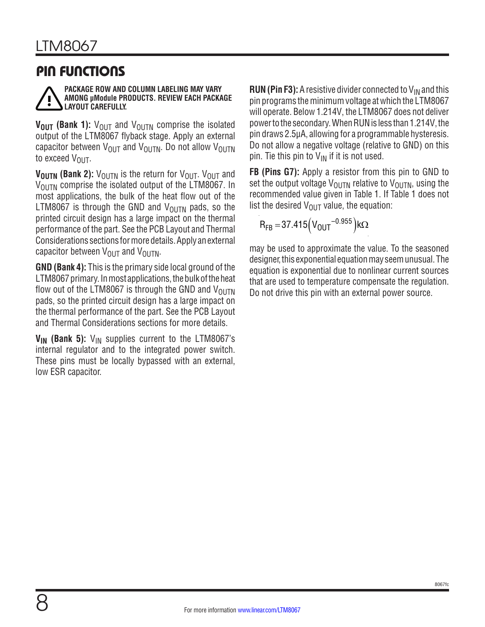## PIN FUNCTIONS



#### **PACKAGE ROW AND COLUMN LABELING MAY VARY AMONG µModule PRODUCTS. REVIEW EACH PACKAGE LAYOUT CAREFULLY.**

**V<sub>OUT</sub>** (Bank 1):  $V_{\text{OUT}}$  and  $V_{\text{OUTN}}$  comprise the isolated output of the LTM8067 flyback stage. Apply an external capacitor between  $V_{\text{OUT}}$  and  $V_{\text{OUTN}}$ . Do not allow  $V_{\text{OUTN}}$ to exceed  $V_{\text{OUT}}$ .

**V<sub>OUTN</sub>** (Bank 2):  $V_{\text{OUTN}}$  is the return for  $V_{\text{OUT}}$ .  $V_{\text{OUT}}$  and  $V_{\text{OUTN}}$  comprise the isolated output of the LTM8067. In most applications, the bulk of the heat flow out of the LTM8067 is through the GND and  $V_{\text{OUTN}}$  pads, so the printed circuit design has a large impact on the thermal performance of the part. See the PCB Layout and Thermal Considerations sections for more details. Apply an external capacitor between  $V_{\text{OUT}}$  and  $V_{\text{OUTN}}$ .

**GND (Bank 4):** This is the primary side local ground of the LTM8067 primary. In most applications, the bulk of the heat flow out of the LTM8067 is through the GND and  $V_{\text{OUTN}}$ pads, so the printed circuit design has a large impact on the thermal performance of the part. See the PCB Layout and Thermal Considerations sections for more details.

 $V_{IN}$  (Bank 5):  $V_{IN}$  supplies current to the LTM8067's internal regulator and to the integrated power switch. These pins must be locally bypassed with an external, low ESR capacitor.

**RUN (Pin F3):** A resistive divider connected to  $V_{IN}$  and this pin programs the minimum voltage at which the LTM8067 will operate. Below 1.214V, the LTM8067 does not deliver power to the secondary. When RUN is less than 1.214V, the pin draws 2.5µA, allowing for a programmable hysteresis. Do not allow a negative voltage (relative to GND) on this pin. Tie this pin to  $V_{IN}$  if it is not used.

**FB (Pins G7):** Apply a resistor from this pin to GND to set the output voltage  $V_{\text{OUTN}}$  relative to  $V_{\text{OUTN}}$ , using the recommended value given in Table 1. If Table 1 does not list the desired  $V_{\text{OUT}}$  value, the equation:

$$
R_{FB} = 37.415 (V_{OUT}^{-0.955}) k\Omega
$$

may be used to approximate the value. To the seasoned designer, this exponential equation may seem unusual. The equation is exponential due to nonlinear current sources that are used to temperature compensate the regulation. Do not drive this pin with an external power source.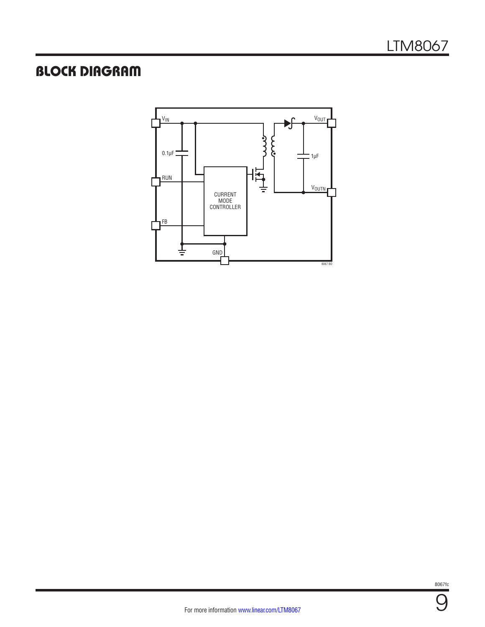# BLOCK DIAGRAM



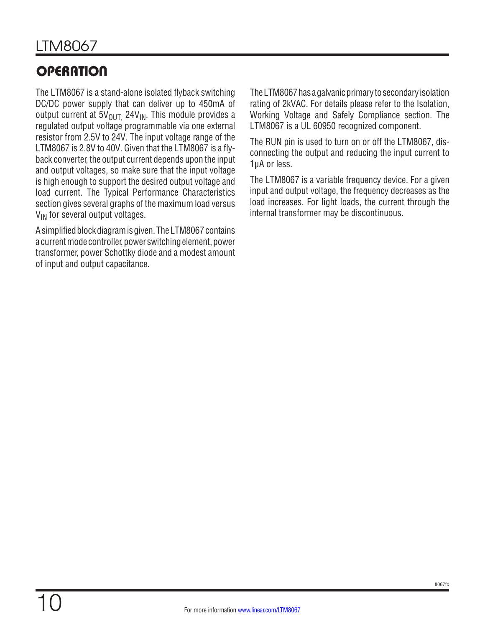# **OPERATION**

The LTM8067 is a stand-alone isolated flyback switching DC/DC power supply that can deliver up to 450mA of output current at  $5V_{OUT}$  24 $V_{IN}$ . This module provides a regulated output voltage programmable via one external resistor from 2.5V to 24V. The input voltage range of the LTM8067 is 2.8V to 40V. Given that the LTM8067 is a flyback converter, the output current depends upon the input and output voltages, so make sure that the input voltage is high enough to support the desired output voltage and load current. The Typical Performance Characteristics section gives several graphs of the maximum load versus V<sub>IN</sub> for several output voltages.

A simplified block diagram is given. The LTM8067 contains a current mode controller, power switching element, power transformer, power Schottky diode and a modest amount of input and output capacitance.

The LTM8067 has a galvanic primary to secondary isolation rating of 2kVAC. For details please refer to the Isolation, Working Voltage and Safely Compliance section. The LTM8067 is a UL 60950 recognized component.

The RUN pin is used to turn on or off the LTM8067, disconnecting the output and reducing the input current to 1μA or less.

The LTM8067 is a variable frequency device. For a given input and output voltage, the frequency decreases as the load increases. For light loads, the current through the internal transformer may be discontinuous.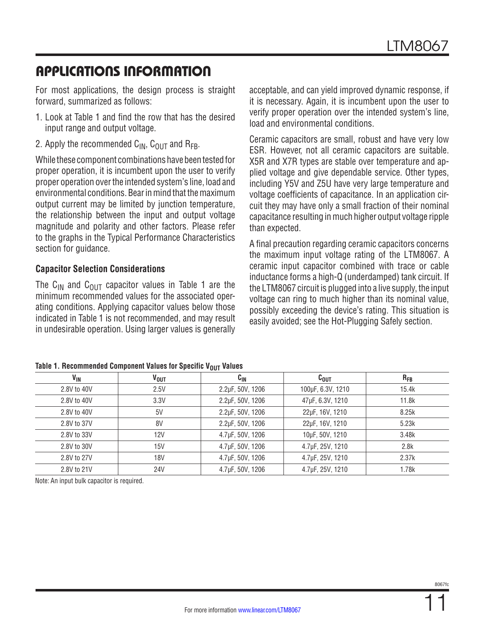For most applications, the design process is straight forward, summarized as follows:

- 1. Look at Table 1 and find the row that has the desired input range and output voltage.
- 2. Apply the recommended  $C_{IN}$ ,  $C_{OUT}$  and  $R_{FB}$ .

While these component combinations have been tested for proper operation, it is incumbent upon the user to verify proper operation over the intended system's line, load and environmental conditions. Bear in mind that the maximum output current may be limited by junction temperature, the relationship between the input and output voltage magnitude and polarity and other factors. Please refer to the graphs in the Typical Performance Characteristics section for guidance.

### **Capacitor Selection Considerations**

The C<sub>IN</sub> and C<sub>OUT</sub> capacitor values in Table 1 are the minimum recommended values for the associated operating conditions. Applying capacitor values below those indicated in Table 1 is not recommended, and may result in undesirable operation. Using larger values is generally

acceptable, and can yield improved dynamic response, if it is necessary. Again, it is incumbent upon the user to verify proper operation over the intended system's line, load and environmental conditions.

Ceramic capacitors are small, robust and have very low ESR. However, not all ceramic capacitors are suitable. X5R and X7R types are stable over temperature and applied voltage and give dependable service. Other types, including Y5V and Z5U have very large temperature and voltage coefficients of capacitance. In an application circuit they may have only a small fraction of their nominal capacitance resulting in much higher output voltage ripple than expected.

A final precaution regarding ceramic capacitors concerns the maximum input voltage rating of the LTM8067. A ceramic input capacitor combined with trace or cable inductance forms a high-Q (underdamped) tank circuit. If the LTM8067 circuit is plugged into a live supply, the input voltage can ring to much higher than its nominal value, possibly exceeding the device's rating. This situation is easily avoided; see the Hot-Plugging Safely section.

| . .<br>. .            |                        |                  |                   |          |  |  |  |  |  |
|-----------------------|------------------------|------------------|-------------------|----------|--|--|--|--|--|
| <b>V<sub>IN</sub></b> | <b>V<sub>OUT</sub></b> | $c_{\rm IN}$     | $c_{\text{OUT}}$  | $R_{FB}$ |  |  |  |  |  |
| 2.8V to 40V           | 2.5V                   | 2.2µF, 50V, 1206 | 100µF, 6.3V, 1210 | 15.4k    |  |  |  |  |  |
| 2.8V to 40V           | 3.3V                   | 2.2µF, 50V, 1206 | 47µF, 6.3V, 1210  | 11.8k    |  |  |  |  |  |
| 2.8V to 40V           | 5V                     | 2.2µF, 50V, 1206 | 22µF, 16V, 1210   | 8.25k    |  |  |  |  |  |
| 2.8V to 37V           | 8V                     | 2.2µF, 50V, 1206 | 22µF, 16V, 1210   | 5.23k    |  |  |  |  |  |
| 2.8V to 33V           | 12V                    | 4.7µF, 50V, 1206 | 10µF, 50V, 1210   | 3.48k    |  |  |  |  |  |
| 2.8V to 30V           | 15V                    | 4.7µF, 50V, 1206 | 4.7µF, 25V, 1210  | 2.8k     |  |  |  |  |  |
| 2.8V to 27V           | <b>18V</b>             | 4.7µF, 50V, 1206 | 4.7µF, 25V, 1210  | 2.37k    |  |  |  |  |  |
| 2.8V to 21V           | <b>24V</b>             | 4.7µF, 50V, 1206 | 4.7µF, 25V, 1210  | 1.78k    |  |  |  |  |  |

Note: An input bulk capacitor is required.

8067fc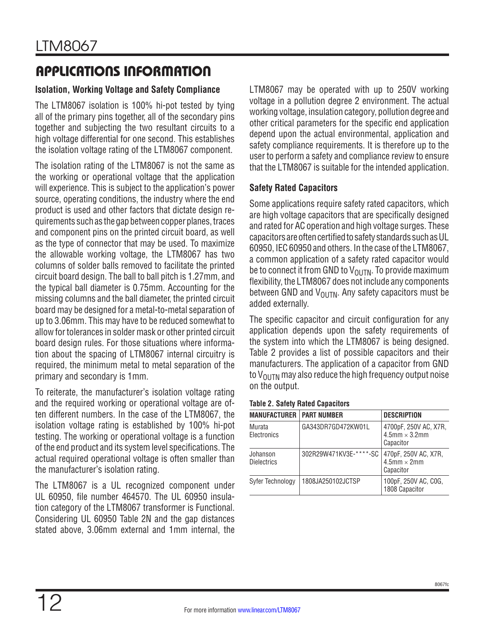### **Isolation, Working Voltage and Safety Compliance**

The LTM8067 isolation is 100% hi-pot tested by tying all of the primary pins together, all of the secondary pins together and subjecting the two resultant circuits to a high voltage differential for one second. This establishes the isolation voltage rating of the LTM8067 component.

The isolation rating of the LTM8067 is not the same as the working or operational voltage that the application will experience. This is subject to the application's power source, operating conditions, the industry where the end product is used and other factors that dictate design requirements such as the gap between copper planes, traces and component pins on the printed circuit board, as well as the type of connector that may be used. To maximize the allowable working voltage, the LTM8067 has two columns of solder balls removed to facilitate the printed circuit board design. The ball to ball pitch is 1.27mm, and the typical ball diameter is 0.75mm. Accounting for the missing columns and the ball diameter, the printed circuit board may be designed for a metal-to-metal separation of up to 3.06mm. This may have to be reduced somewhat to allow for tolerances in solder mask or other printed circuit board design rules. For those situations where information about the spacing of LTM8067 internal circuitry is required, the minimum metal to metal separation of the primary and secondary is 1mm.

To reiterate, the manufacturer's isolation voltage rating and the required working or operational voltage are often different numbers. In the case of the LTM8067, the isolation voltage rating is established by 100% hi-pot testing. The working or operational voltage is a function of the end product and its system level specifications. The actual required operational voltage is often smaller than the manufacturer's isolation rating.

The LTM8067 is a UL recognized component under UL 60950, file number 464570. The UL 60950 insulation category of the LTM8067 transformer is Functional. Considering UL 60950 Table 2N and the gap distances stated above, 3.06mm external and 1mm internal, the LTM8067 may be operated with up to 250V working voltage in a pollution degree 2 environment. The actual working voltage, insulation category, pollution degree and other critical parameters for the specific end application depend upon the actual environmental, application and safety compliance requirements. It is therefore up to the user to perform a safety and compliance review to ensure that the LTM8067 is suitable for the intended application.

### **Safety Rated Capacitors**

Some applications require safety rated capacitors, which are high voltage capacitors that are specifically designed and rated for AC operation and high voltage surges. These capacitors are often certified to safety standards such as UL 60950, IEC 60950 and others. In the case of the LTM8067, a common application of a safety rated capacitor would be to connect it from GND to  $V_{\text{OUTN}}$ . To provide maximum flexibility, the LTM8067 does not include any components between GND and  $V_{\text{OUTN}}$ . Any safety capacitors must be added externally.

The specific capacitor and circuit configuration for any application depends upon the safety requirements of the system into which the LTM8067 is being designed. Table 2 provides a list of possible capacitors and their manufacturers. The application of a capacitor from GND to  $V_{\text{OUTN}}$  may also reduce the high frequency output noise on the output.

| <b>MANUFACTURER</b>            | <b>PART NUMBER</b>     | <b>DESCRIPTION</b>                                            |
|--------------------------------|------------------------|---------------------------------------------------------------|
| Murata<br>Electronics          | GA343DR7GD472KW01L     | 4700pF, 250V AC, X7R,<br>$4.5$ mm $\times$ 3.2mm<br>Capacitor |
| Johanson<br><b>Dielectrics</b> | 302R29W471KV3E-****-SC | 470pF, 250V AC, X7R,<br>$4.5$ mm $\times$ 2mm<br>Capacitor    |
| Syfer Technology               | 1808JA250102JCTSP      | 100pF, 250V AC, COG,<br>1808 Capacitor                        |

#### **Table 2. Safety Rated Capacitors**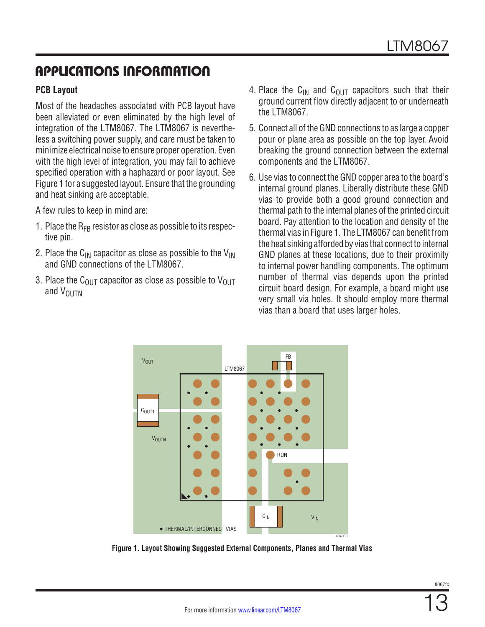#### **PCB Layout**

Most of the headaches associated with PCB layout have been alleviated or even eliminated by the high level of integration of the LTM8067. The LTM8067 is nevertheless a switching power supply, and care must be taken to minimize electrical noise to ensure proper operation. Even with the high level of integration, you may fail to achieve specified operation with a haphazard or poor layout. See Figure 1 for a suggested layout. Ensure that the grounding and heat sinking are acceptable.

A few rules to keep in mind are:

- 1. Place the  $R_{FR}$  resistor as close as possible to its respective pin.
- 2. Place the C<sub>IN</sub> capacitor as close as possible to the V<sub>IN</sub> and GND connections of the LTM8067.
- 3. Place the C<sub>OUT</sub> capacitor as close as possible to V<sub>OUT</sub> and  $V_{\text{OUTN}}$
- 4. Place the C<sub>IN</sub> and C<sub>OUT</sub> capacitors such that their ground current flow directly adjacent to or underneath the LTM8067.
- 5. Connect all of the GND connections to as large a copper pour or plane area as possible on the top layer. Avoid breaking the ground connection between the external components and the LTM8067.
- 6. Use vias to connect the GND copper area to the board's internal ground planes. Liberally distribute these GND vias to provide both a good ground connection and thermal path to the internal planes of the printed circuit board. Pay attention to the location and density of the thermal vias in Figure 1. The LTM8067 can benefit from the heat sinking afforded by vias that connect to internal GND planes at these locations, due to their proximity to internal power handling components. The optimum number of thermal vias depends upon the printed circuit board design. For example, a board might use very small via holes. It should employ more thermal vias than a board that uses larger holes.



**Figure 1. Layout Showing Suggested External Components, Planes and Thermal Vias**

8067f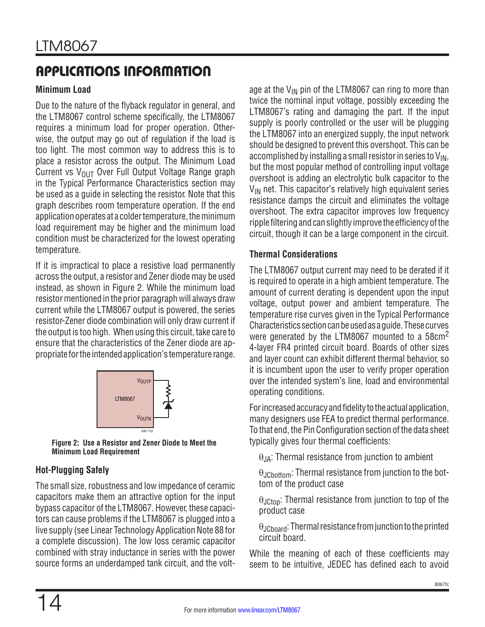### **Minimum Load**

Due to the nature of the flyback regulator in general, and the LTM8067 control scheme specifically, the LTM8067 requires a minimum load for proper operation. Otherwise, the output may go out of regulation if the load is too light. The most common way to address this is to place a resistor across the output. The Minimum Load Current vs  $V_{OIII}$  Over Full Output Voltage Range graph in the Typical Performance Characteristics section may be used as a guide in selecting the resistor. Note that this graph describes room temperature operation. If the end application operates at a colder temperature, the minimum load requirement may be higher and the minimum load condition must be characterized for the lowest operating temperature.

If it is impractical to place a resistive load permanently across the output, a resistor and Zener diode may be used instead, as shown in Figure 2. While the minimum load resistor mentioned in the prior paragraph will always draw current while the LTM8067 output is powered, the series resistor-Zener diode combination will only draw current if the output is too high. When using this circuit, take care to ensure that the characteristics of the Zener diode are appropriate for the intended application's temperature range.



**Figure 2: Use a Resistor and Zener Diode to Meet the Minimum Load Requirement**

### **Hot-Plugging Safely**

The small size, robustness and low impedance of ceramic capacitors make them an attractive option for the input bypass capacitor of the LTM8067. However, these capacitors can cause problems if the LTM8067 is plugged into a live supply (see Linear Technology Application Note 88 for a complete discussion). The low loss ceramic capacitor combined with stray inductance in series with the power source forms an underdamped tank circuit, and the voltage at the  $V_{IN}$  pin of the LTM8067 can ring to more than twice the nominal input voltage, possibly exceeding the LTM8067's rating and damaging the part. If the input supply is poorly controlled or the user will be plugging the LTM8067 into an energized supply, the input network should be designed to prevent this overshoot. This can be accomplished by installing a small resistor in series to  $V_{IN}$ , but the most popular method of controlling input voltage overshoot is adding an electrolytic bulk capacitor to the  $V_{IN}$  net. This capacitor's relatively high equivalent series resistance damps the circuit and eliminates the voltage overshoot. The extra capacitor improves low frequency ripple filtering and can slightly improve the efficiency of the circuit, though it can be a large component in the circuit.

#### **Thermal Considerations**

The LTM8067 output current may need to be derated if it is required to operate in a high ambient temperature. The amount of current derating is dependent upon the input voltage, output power and ambient temperature. The temperature rise curves given in the Typical Performance Characteristics section can be used as a guide. These curves were generated by the LTM8067 mounted to a 58cm<sup>2</sup> 4-layer FR4 printed circuit board. Boards of other sizes and layer count can exhibit different thermal behavior, so it is incumbent upon the user to verify proper operation over the intended system's line, load and environmental operating conditions.

For increased accuracy and fidelity to the actual application, many designers use FEA to predict thermal performance. To that end, the Pin Configuration section of the data sheet typically gives four thermal coefficients:

 $\theta_{JA}$ : Thermal resistance from junction to ambient

 θJCbottom: Thermal resistance from junction to the bottom of the product case

 $\theta_{\text{JCton}}$ : Thermal resistance from junction to top of the product case

 θJCboard: Thermal resistance from junction to the printed circuit board.

While the meaning of each of these coefficients may seem to be intuitive, JEDEC has defined each to avoid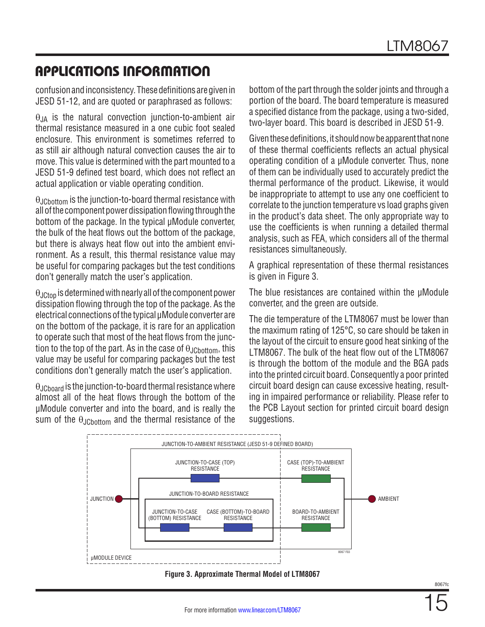confusion and inconsistency. These definitions are given in JESD 51-12, and are quoted or paraphrased as follows:

 $\theta_{JA}$  is the natural convection junction-to-ambient air thermal resistance measured in a one cubic foot sealed enclosure. This environment is sometimes referred to as still air although natural convection causes the air to move. This value is determined with the part mounted to a JESD 51-9 defined test board, which does not reflect an actual application or viable operating condition.

θJCbottom is the junction-to-board thermal resistance with all of the component power dissipation flowing through the bottom of the package. In the typical µModule converter, the bulk of the heat flows out the bottom of the package, but there is always heat flow out into the ambient environment. As a result, this thermal resistance value may be useful for comparing packages but the test conditions don't generally match the user's application.

 $\theta_{JChon}$  is determined with nearly all of the component power dissipation flowing through the top of the package. As the electrical connections of the typical µModule converter are on the bottom of the package, it is rare for an application to operate such that most of the heat flows from the junction to the top of the part. As in the case of  $\theta$ <sub>JChottom</sub>, this value may be useful for comparing packages but the test conditions don't generally match the user's application.

 $\theta_{\text{JCboard}}$  is the junction-to-board thermal resistance where almost all of the heat flows through the bottom of the µModule converter and into the board, and is really the sum of the  $\theta$ <sub>JChottom</sub> and the thermal resistance of the bottom of the part through the solder joints and through a portion of the board. The board temperature is measured a specified distance from the package, using a two-sided, two-layer board. This board is described in JESD 51-9.

Given these definitions, it should now be apparent that none of these thermal coefficients reflects an actual physical operating condition of a µModule converter. Thus, none of them can be individually used to accurately predict the thermal performance of the product. Likewise, it would be inappropriate to attempt to use any one coefficient to correlate to the junction temperature vs load graphs given in the product's data sheet. The only appropriate way to use the coefficients is when running a detailed thermal analysis, such as FEA, which considers all of the thermal resistances simultaneously.

A graphical representation of these thermal resistances is given in Figure 3.

The blue resistances are contained within the  $µ$ Module converter, and the green are outside.

The die temperature of the LTM8067 must be lower than the maximum rating of 125°C, so care should be taken in the layout of the circuit to ensure good heat sinking of the LTM8067. The bulk of the heat flow out of the LTM8067 is through the bottom of the module and the BGA pads into the printed circuit board. Consequently a poor printed circuit board design can cause excessive heating, resulting in impaired performance or reliability. Please refer to the PCB Layout section for printed circuit board design suggestions.



**Figure 3. Approximate Thermal Model of LTM8067**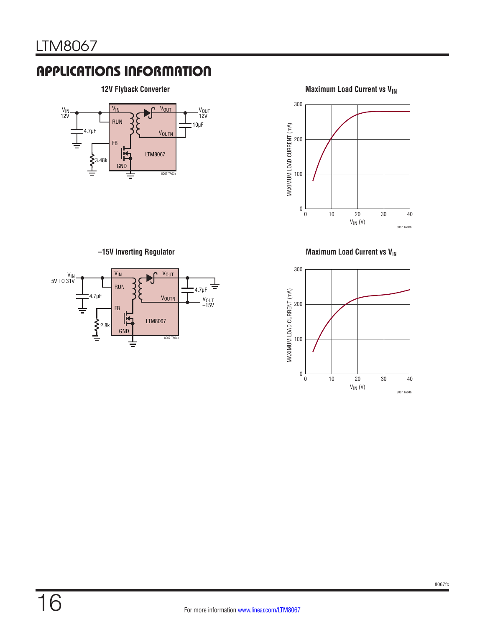

**12V Flyback Converter Maximum Load Current vs V<sub>IN</sub>** 



**–15V Inverting Regulator**



**Maximum Load Current vs V<sub>IN</sub>** 

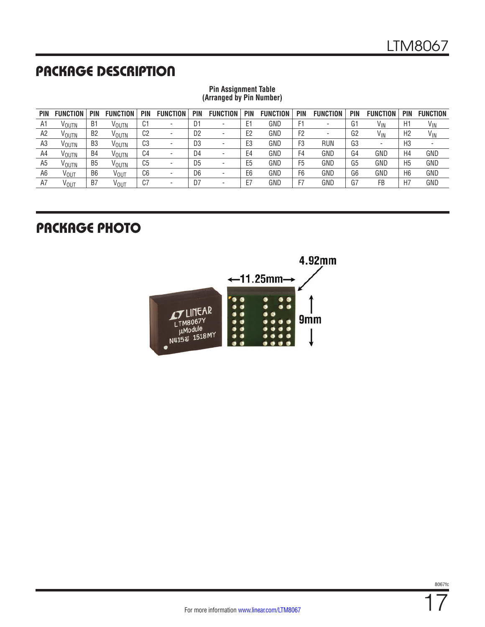# PACKAGE DESCRIPTION

| PIN | <b>FUNCTION</b>  | PIN            | <b>FUNCTION</b>   | <b>PIN</b>     | <b>FUNCTION</b>          | <b>PIN</b>     | <b>FUNCTION</b> | PIN            | <b>FUNCTION</b> | <b>PIN</b>     | <b>FUNCTION</b> | <b>PIN</b>     | <b>FUNCTION</b> | <b>PIN</b>     | <b>FUNCTION</b>          |
|-----|------------------|----------------|-------------------|----------------|--------------------------|----------------|-----------------|----------------|-----------------|----------------|-----------------|----------------|-----------------|----------------|--------------------------|
| A1  | VOUTN            | B1             | Voutn             | C1             | ۰                        | D1             |                 | E1             | GND             | F1             | -               | G1             | V <sub>IN</sub> | H1             | V <sub>IN</sub>          |
| A2  | VOUTN            | B <sub>2</sub> | V <sub>OUTN</sub> | C <sub>2</sub> | $\overline{\phantom{a}}$ | D <sub>2</sub> | -               | E <sub>2</sub> | GND             | F <sub>2</sub> | -               | G <sub>2</sub> | V <sub>IN</sub> | H <sub>2</sub> | $V_{IN}$                 |
| A3  | VOUTN            | B3             | V <sub>OUTN</sub> | C3             | ٠                        | D <sub>3</sub> |                 | E <sub>3</sub> | GND             | F <sub>3</sub> | <b>RUN</b>      | G3             | $\,$            | H <sub>3</sub> | $\overline{\phantom{a}}$ |
| A4  | VOUTN            | B4             | V <sub>OUTN</sub> | C4             | $\overline{\phantom{a}}$ | D <sub>4</sub> |                 | E4             | GND             | F4             | GND             | G <sub>4</sub> | GND             | H4             | GND                      |
| A5  | VOUTN            | B <sub>5</sub> | V <sub>OUTN</sub> | C5             | $\overline{\phantom{a}}$ | D <sub>5</sub> | -               | E <sub>5</sub> | GND             | F5             | GND             | G <sub>5</sub> | GND             | H <sub>5</sub> | GND                      |
| A6  | VOUT             | B <sub>6</sub> | <b>VOUT</b>       | C6             | ٠                        | D <sub>6</sub> |                 | E <sub>6</sub> | GND             | F <sub>6</sub> | GND             | G <sub>6</sub> | GND             | H <sub>6</sub> | GND                      |
| Α7  | V <sub>OUT</sub> | B7             | V <sub>OUT</sub>  | C7             | $\overline{\phantom{a}}$ | D7             |                 | E7             | GND             | F7             | GND             | G7             | FB              | H <sub>7</sub> | GND                      |

#### **Pin Assignment Table (Arranged by Pin Number)**

## PACKAGE PHOTO

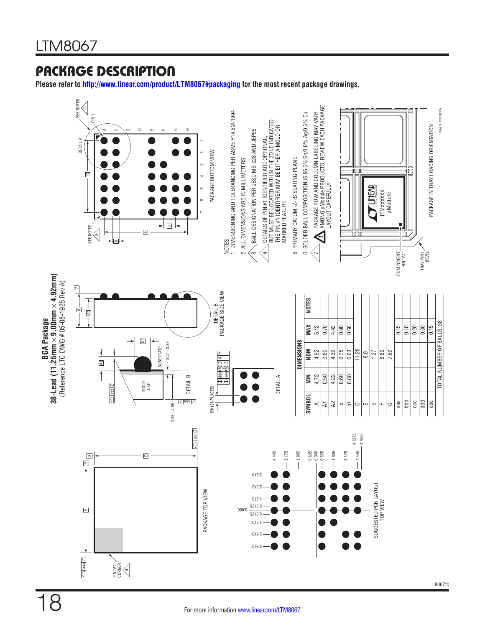## PACKAGE DESCRIPTION

**Please refer to<http://www.linear.com/product/LTM8067#packaging>for the most recent package drawings.**

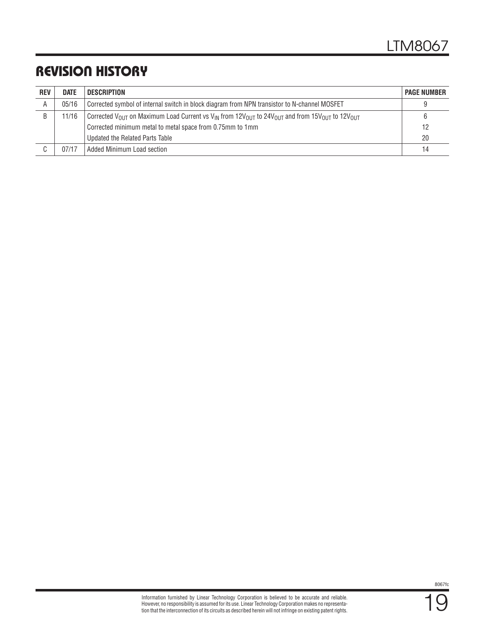# REVISION HISTORY

| <b>REV</b> | <b>DATE</b> | <b>DESCRIPTION</b>                                                                                                                                                    | <b>PAGE NUMBER</b> |
|------------|-------------|-----------------------------------------------------------------------------------------------------------------------------------------------------------------------|--------------------|
| A          | 05/16       | Corrected symbol of internal switch in block diagram from NPN transistor to N-channel MOSFET                                                                          |                    |
| B          | 11/16       | Corrected V <sub>OUT</sub> on Maximum Load Current vs V <sub>IN</sub> from 12V <sub>OUT</sub> to 24V <sub>OUT</sub> and from 15V <sub>OUT</sub> to 12V <sub>OUT</sub> |                    |
|            |             | Corrected minimum metal to metal space from 0.75mm to 1mm                                                                                                             | 12                 |
|            |             | Updated the Related Parts Table                                                                                                                                       | 20                 |
|            | 07/17       | Added Minimum Load section                                                                                                                                            | 14                 |